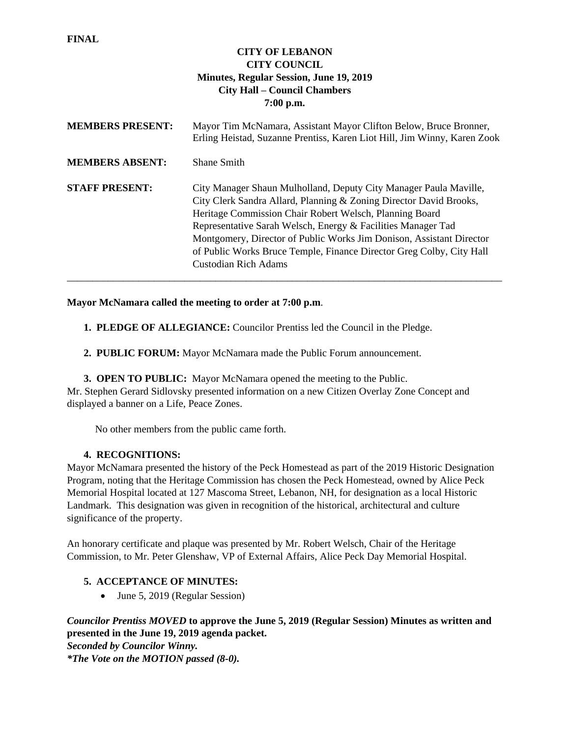| <b>CITY OF LEBANON</b><br><b>CITY COUNCIL</b><br><b>Minutes, Regular Session, June 19, 2019</b><br><b>City Hall – Council Chambers</b><br>7:00 p.m. |                                                                                                                                                                                                                                                                                                                                                                                                                                            |  |  |  |  |  |  |
|-----------------------------------------------------------------------------------------------------------------------------------------------------|--------------------------------------------------------------------------------------------------------------------------------------------------------------------------------------------------------------------------------------------------------------------------------------------------------------------------------------------------------------------------------------------------------------------------------------------|--|--|--|--|--|--|
| <b>MEMBERS PRESENT:</b>                                                                                                                             | Mayor Tim McNamara, Assistant Mayor Clifton Below, Bruce Bronner,<br>Erling Heistad, Suzanne Prentiss, Karen Liot Hill, Jim Winny, Karen Zook                                                                                                                                                                                                                                                                                              |  |  |  |  |  |  |
| <b>MEMBERS ABSENT:</b>                                                                                                                              | <b>Shane Smith</b>                                                                                                                                                                                                                                                                                                                                                                                                                         |  |  |  |  |  |  |
| <b>STAFF PRESENT:</b>                                                                                                                               | City Manager Shaun Mulholland, Deputy City Manager Paula Maville,<br>City Clerk Sandra Allard, Planning & Zoning Director David Brooks,<br>Heritage Commission Chair Robert Welsch, Planning Board<br>Representative Sarah Welsch, Energy & Facilities Manager Tad<br>Montgomery, Director of Public Works Jim Donison, Assistant Director<br>of Public Works Bruce Temple, Finance Director Greg Colby, City Hall<br>Custodian Rich Adams |  |  |  |  |  |  |

## **Mayor McNamara called the meeting to order at 7:00 p.m**.

- **1. PLEDGE OF ALLEGIANCE:** Councilor Prentiss led the Council in the Pledge.
- **2. PUBLIC FORUM:** Mayor McNamara made the Public Forum announcement.

**3. OPEN TO PUBLIC:** Mayor McNamara opened the meeting to the Public. Mr. Stephen Gerard Sidlovsky presented information on a new Citizen Overlay Zone Concept and displayed a banner on a Life, Peace Zones.

No other members from the public came forth.

### **4. RECOGNITIONS:**

**FINAL**

Mayor McNamara presented the history of the Peck Homestead as part of the 2019 Historic Designation Program, noting that the Heritage Commission has chosen the Peck Homestead, owned by Alice Peck Memorial Hospital located at 127 Mascoma Street, Lebanon, NH, for designation as a local Historic Landmark. This designation was given in recognition of the historical, architectural and culture significance of the property.

An honorary certificate and plaque was presented by Mr. Robert Welsch, Chair of the Heritage Commission, to Mr. Peter Glenshaw, VP of External Affairs, Alice Peck Day Memorial Hospital.

# **5. ACCEPTANCE OF MINUTES:**

• June 5, 2019 (Regular Session)

# *Councilor Prentiss MOVED* **to approve the June 5, 2019 (Regular Session) Minutes as written and presented in the June 19, 2019 agenda packet.**

*Seconded by Councilor Winny.*

*\*The Vote on the MOTION passed (8-0).*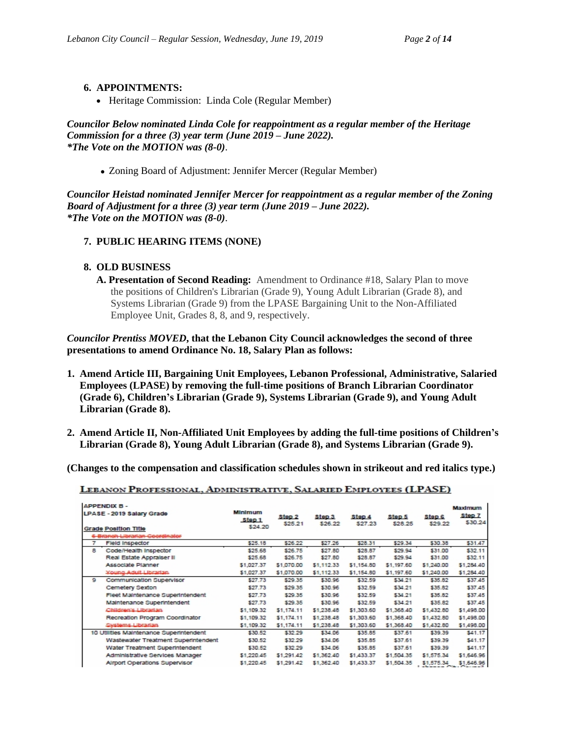## **6. APPOINTMENTS:**

• Heritage Commission: Linda Cole (Regular Member)

*Councilor Below nominated Linda Cole for reappointment as a regular member of the Heritage Commission for a three (3) year term (June 2019 – June 2022). \*The Vote on the MOTION was (8-0)*.

Zoning Board of Adjustment: Jennifer Mercer (Regular Member)

*Councilor Heistad nominated Jennifer Mercer for reappointment as a regular member of the Zoning Board of Adjustment for a three (3) year term (June 2019 – June 2022). \*The Vote on the MOTION was (8-0)*.

### **7. PUBLIC HEARING ITEMS (NONE)**

### **8. OLD BUSINESS**

**A. Presentation of Second Reading:** Amendment to Ordinance #18, Salary Plan to move the positions of Children's Librarian (Grade 9), Young Adult Librarian (Grade 8), and Systems Librarian (Grade 9) from the LPASE Bargaining Unit to the Non-Affiliated Employee Unit, Grades 8, 8, and 9, respectively.

*Councilor Prentiss MOVED***, that the Lebanon City Council acknowledges the second of three presentations to amend Ordinance No. 18, Salary Plan as follows:** 

- **1. Amend Article III, Bargaining Unit Employees, Lebanon Professional, Administrative, Salaried Employees (LPASE) by removing the full-time positions of Branch Librarian Coordinator (Grade 6), Children's Librarian (Grade 9), Systems Librarian (Grade 9), and Young Adult Librarian (Grade 8).**
- **2. Amend Article II, Non-Affiliated Unit Employees by adding the full-time positions of Children's Librarian (Grade 8), Young Adult Librarian (Grade 8), and Systems Librarian (Grade 9).**

**(Changes to the compensation and classification schedules shown in strikeout and red italics type.)**

| <b>APPENDIX B -</b><br>LPASE - 2019 Salary Grade<br><b>Grade Position Title</b><br>6 Branch Librarian Coordinator |                                         | Minimum<br>Step 1<br>\$24.20 | Step <sub>2</sub><br>\$25.21 | Step <sub>3</sub><br>\$26.22 | Step 4<br>\$27.23 | Step 5<br>\$28.25 | Step <sub>S</sub><br>\$29.22 | Maximum<br>Step 7<br>\$30.24 |
|-------------------------------------------------------------------------------------------------------------------|-----------------------------------------|------------------------------|------------------------------|------------------------------|-------------------|-------------------|------------------------------|------------------------------|
| 7                                                                                                                 | <b>Field Inspector</b>                  | \$25.18                      | \$26.22                      | \$27.26                      | \$28.31           | \$29.34           | \$30.38                      | \$31.47                      |
| 8                                                                                                                 | Code/Health Inspector                   | \$25.68                      | \$26.75                      | \$27.80                      | \$28.87           | \$29.94           | \$31.00                      | \$32.11                      |
|                                                                                                                   | Real Estate Appraiser II                | \$25.68                      | \$26.75                      | \$27.80                      | \$28.87           | \$29.94           | \$31.00                      | \$32.11                      |
|                                                                                                                   | Associate Planner                       | \$1,027.37                   | \$1,070.00                   | \$1,112,33                   | \$1,154.80        | \$1,197.60        | \$1,240.00                   | \$1,284.40                   |
|                                                                                                                   | <b>Young Adult Librarian</b>            | \$1,027,37                   | \$1,070.00                   | \$1,112.33                   | \$1,154.80        | \$1,197.60        | \$1,240.00                   | \$1,284.40                   |
| 9                                                                                                                 | Communication Supervisor                | \$27.73                      | \$29.35                      | \$30.96                      | \$32.59           | \$34.21           | \$35.82                      | \$37.45                      |
|                                                                                                                   | Cemetery Sexton                         | \$27.73                      | \$29.35                      | \$30.96                      | \$32.59           | \$34.21           | \$35.82                      | \$37.45                      |
|                                                                                                                   | Fleet Maintenance Superintendent        | \$27.73                      | \$29.35                      | \$30.96                      | \$32.59           | \$34.21           | \$35.82                      | \$37.45                      |
|                                                                                                                   | Maintenance Superintendent              | \$27.73                      | \$29.35                      | \$30.96                      | \$32.59           | \$34.21           | \$35.82                      | \$37.45                      |
|                                                                                                                   | Children's Librarian                    | \$1,109.32                   | \$1.174.11                   | \$1,238.48                   | \$1,303.60        | \$1,368.40        | \$1,432.80                   | \$1,498.00                   |
|                                                                                                                   | Recreation Program Coordinator          | \$1,109.32                   | \$1,174.11                   | \$1,238.48                   | \$1,303.60        | \$1,368.40        | \$1,432.80                   | \$1,498.00                   |
|                                                                                                                   | <b>Systems Librarian</b>                | \$1,109.32                   | \$1,174.11                   | \$1,238.48                   | \$1,303.60        | \$1,368.40        | \$1,432.80                   | \$1,498.00                   |
|                                                                                                                   | 10 Utilities Maintenance Superintendent | \$30.52                      | \$32.29                      | \$34.06                      | \$35.85           | \$37.61           | \$39.39                      | \$41.17                      |
|                                                                                                                   | Wastewater Treatment Superintendent     | \$30.52                      | \$32.29                      | \$34.06                      | \$35.85           | \$37.61           | \$39.39                      | \$41.17                      |
|                                                                                                                   | Water Treatment Superintendent          | \$30.52                      | \$32.29                      | \$34.06                      | \$35.85           | \$37.61           | \$39.39                      | \$41.17                      |
|                                                                                                                   | Administrative Services Manager         | \$1,220.45                   | \$1,291.42                   | \$1,362.40                   | \$1,433.37        | \$1,504.35        | \$1,575.34                   | \$1,646.96                   |
|                                                                                                                   | Airport Operations Supervisor           | \$1,220.45                   | \$1,291.42                   | \$1,362,40                   | \$1,433.37        | \$1,504.35        | \$1,575.34                   | \$1,646.96                   |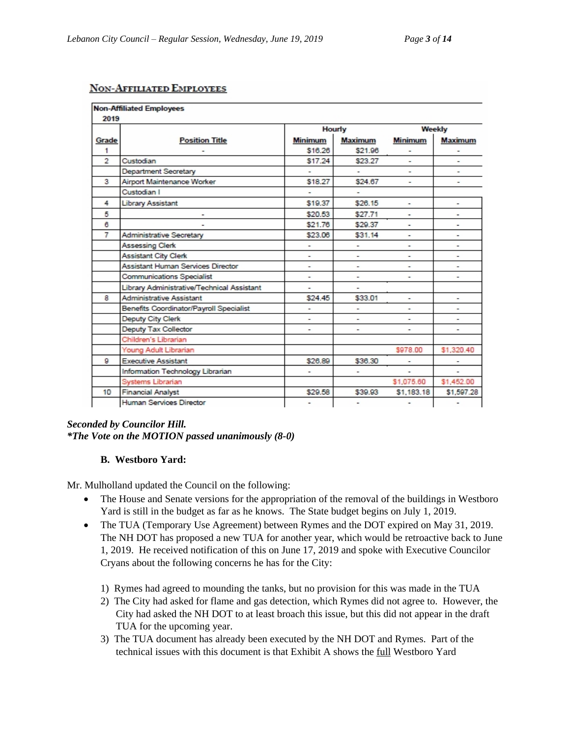## **NON-AFFILIATED EMPLOYEES**

|                | <b>Non-Affiliated Employees</b>            |         |         |                |                |  |
|----------------|--------------------------------------------|---------|---------|----------------|----------------|--|
| 2019           |                                            |         |         |                |                |  |
|                |                                            |         | Hourly  | Weekly         |                |  |
| Grade          | <b>Position Title</b>                      | Minimum | Maximum | <b>Minimum</b> | <b>Maximum</b> |  |
| 1              |                                            | \$16.26 | \$21.96 |                |                |  |
| $\overline{2}$ | Custodian                                  | \$17.24 | \$23.27 | $\blacksquare$ | ٠              |  |
|                | Department Secretary                       |         | ٠       |                |                |  |
| 3              | Airport Maintenance Worker                 | \$18.27 | \$24.67 | ۰              | -              |  |
|                | Custodian I                                |         | ٠       |                |                |  |
| 4              | Library Assistant                          | \$19.37 | \$26.15 | ٠              |                |  |
| 5              |                                            | \$20.53 | \$27.71 | ٠              |                |  |
| 6              |                                            | \$21.76 | \$29.37 |                |                |  |
| $\overline{7}$ | Administrative Secretary                   | \$23.06 | \$31.14 | ٠              |                |  |
|                | <b>Assessing Clerk</b>                     |         |         | ۰              |                |  |
|                | <b>Assistant City Clerk</b>                |         |         |                |                |  |
|                | Assistant Human Services Director          | ٠       | ٠       | ٠              |                |  |
|                | Communications Specialist                  | ٠       | ٠       | ۰              |                |  |
|                | Library Administrative/Technical Assistant |         |         |                |                |  |
| 8              | <b>Administrative Assistant</b>            | \$24.45 | \$33.01 | ٠              |                |  |
|                | Benefits Coordinator/Payroll Specialist    | ٠       |         |                |                |  |
|                | Deputy City Clerk                          | ٠       | ۰       | ۰              |                |  |
|                | Deputy Tax Collector                       |         |         |                |                |  |
|                | Children's Librarian                       |         |         |                |                |  |
|                | Young Adult Librarian                      |         |         | \$978.00       | \$1,320.40     |  |
| g              | <b>Executive Assistant</b>                 | \$26.89 | \$36.30 | ۰              |                |  |
|                | Information Technology Librarian           |         |         |                |                |  |
|                | Systems Librarian                          |         |         | \$1,075.60     | \$1,452.00     |  |
| 10             | <b>Financial Analyst</b>                   | \$29.58 | \$39.93 | \$1,183.18     | \$1,597.28     |  |
|                | Human Services Director                    | ٠       | ٠       | ٠              |                |  |

## *Seconded by Councilor Hill. \*The Vote on the MOTION passed unanimously (8-0)*

# **B. Westboro Yard:**

Mr. Mulholland updated the Council on the following:

- The House and Senate versions for the appropriation of the removal of the buildings in Westboro Yard is still in the budget as far as he knows. The State budget begins on July 1, 2019.
- The TUA (Temporary Use Agreement) between Rymes and the DOT expired on May 31, 2019. The NH DOT has proposed a new TUA for another year, which would be retroactive back to June 1, 2019. He received notification of this on June 17, 2019 and spoke with Executive Councilor Cryans about the following concerns he has for the City:
	- 1) Rymes had agreed to mounding the tanks, but no provision for this was made in the TUA
	- 2) The City had asked for flame and gas detection, which Rymes did not agree to. However, the City had asked the NH DOT to at least broach this issue, but this did not appear in the draft TUA for the upcoming year.
	- 3) The TUA document has already been executed by the NH DOT and Rymes. Part of the technical issues with this document is that Exhibit A shows the full Westboro Yard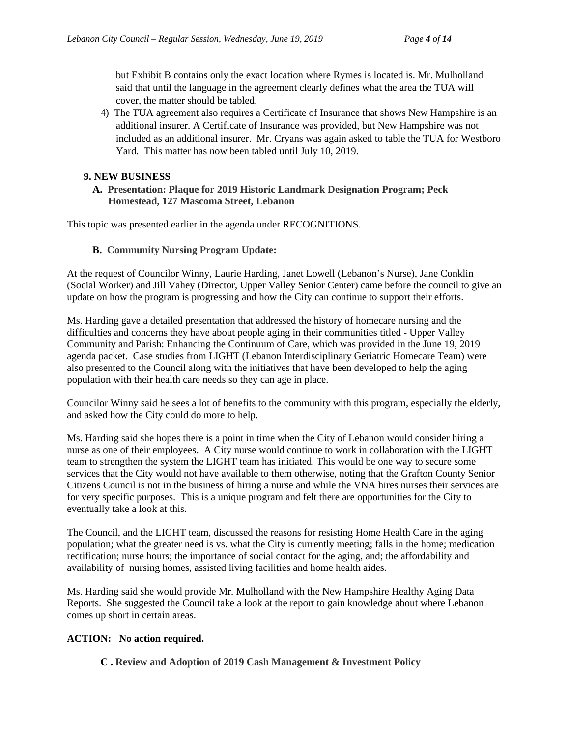but Exhibit B contains only the exact location where Rymes is located is. Mr. Mulholland said that until the language in the agreement clearly defines what the area the TUA will cover, the matter should be tabled.

4) The TUA agreement also requires a Certificate of Insurance that shows New Hampshire is an additional insurer. A Certificate of Insurance was provided, but New Hampshire was not included as an additional insurer. Mr. Cryans was again asked to table the TUA for Westboro Yard. This matter has now been tabled until July 10, 2019.

## **9. NEW BUSINESS**

 **A. Presentation: Plaque for 2019 Historic Landmark Designation Program; Peck Homestead, 127 Mascoma Street, Lebanon**

This topic was presented earlier in the agenda under RECOGNITIONS.

### **B. Community Nursing Program Update:**

At the request of Councilor Winny, Laurie Harding, Janet Lowell (Lebanon's Nurse), Jane Conklin (Social Worker) and Jill Vahey (Director, Upper Valley Senior Center) came before the council to give an update on how the program is progressing and how the City can continue to support their efforts.

Ms. Harding gave a detailed presentation that addressed the history of homecare nursing and the difficulties and concerns they have about people aging in their communities titled - Upper Valley Community and Parish: Enhancing the Continuum of Care, which was provided in the June 19, 2019 agenda packet. Case studies from LIGHT (Lebanon Interdisciplinary Geriatric Homecare Team) were also presented to the Council along with the initiatives that have been developed to help the aging population with their health care needs so they can age in place.

Councilor Winny said he sees a lot of benefits to the community with this program, especially the elderly, and asked how the City could do more to help.

Ms. Harding said she hopes there is a point in time when the City of Lebanon would consider hiring a nurse as one of their employees. A City nurse would continue to work in collaboration with the LIGHT team to strengthen the system the LIGHT team has initiated. This would be one way to secure some services that the City would not have available to them otherwise, noting that the Grafton County Senior Citizens Council is not in the business of hiring a nurse and while the VNA hires nurses their services are for very specific purposes. This is a unique program and felt there are opportunities for the City to eventually take a look at this.

The Council, and the LIGHT team, discussed the reasons for resisting Home Health Care in the aging population; what the greater need is vs. what the City is currently meeting; falls in the home; medication rectification; nurse hours; the importance of social contact for the aging, and; the affordability and availability of nursing homes, assisted living facilities and home health aides.

Ms. Harding said she would provide Mr. Mulholland with the New Hampshire Healthy Aging Data Reports. She suggested the Council take a look at the report to gain knowledge about where Lebanon comes up short in certain areas.

# **ACTION: No action required.**

**C . Review and Adoption of 2019 Cash Management & Investment Policy**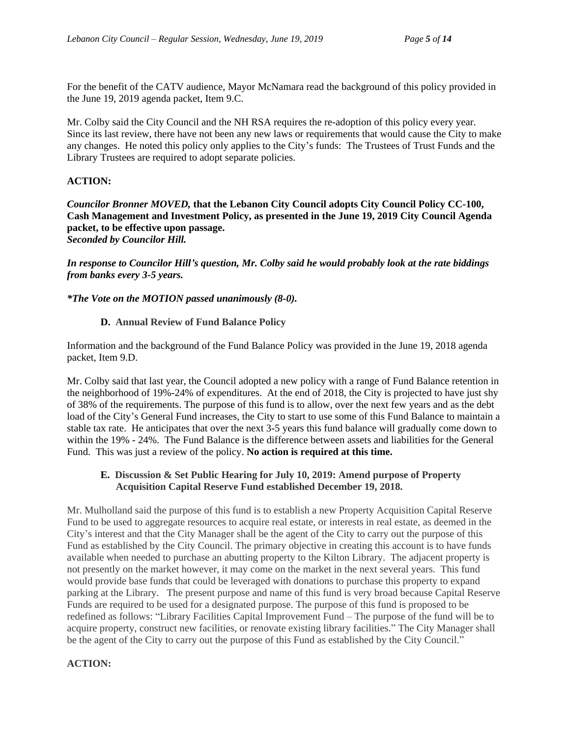For the benefit of the CATV audience, Mayor McNamara read the background of this policy provided in the June 19, 2019 agenda packet, Item 9.C.

Mr. Colby said the City Council and the NH RSA requires the re-adoption of this policy every year. Since its last review, there have not been any new laws or requirements that would cause the City to make any changes. He noted this policy only applies to the City's funds: The Trustees of Trust Funds and the Library Trustees are required to adopt separate policies.

# **ACTION:**

*Councilor Bronner MOVED,* **that the Lebanon City Council adopts City Council Policy CC-100, Cash Management and Investment Policy, as presented in the June 19, 2019 City Council Agenda packet, to be effective upon passage.** *Seconded by Councilor Hill.*

*In response to Councilor Hill's question, Mr. Colby said he would probably look at the rate biddings from banks every 3-5 years.*

*\*The Vote on the MOTION passed unanimously (8-0).*

# **D. Annual Review of Fund Balance Policy**

Information and the background of the Fund Balance Policy was provided in the June 19, 2018 agenda packet, Item 9.D.

Mr. Colby said that last year, the Council adopted a new policy with a range of Fund Balance retention in the neighborhood of 19%-24% of expenditures. At the end of 2018, the City is projected to have just shy of 38% of the requirements. The purpose of this fund is to allow, over the next few years and as the debt load of the City's General Fund increases, the City to start to use some of this Fund Balance to maintain a stable tax rate. He anticipates that over the next 3-5 years this fund balance will gradually come down to within the 19% - 24%. The Fund Balance is the difference between assets and liabilities for the General Fund. This was just a review of the policy. **No action is required at this time.**

## **E. Discussion & Set Public Hearing for July 10, 2019: Amend purpose of Property Acquisition Capital Reserve Fund established December 19, 2018.**

Mr. Mulholland said the purpose of this fund is to establish a new Property Acquisition Capital Reserve Fund to be used to aggregate resources to acquire real estate, or interests in real estate, as deemed in the City's interest and that the City Manager shall be the agent of the City to carry out the purpose of this Fund as established by the City Council. The primary objective in creating this account is to have funds available when needed to purchase an abutting property to the Kilton Library. The adjacent property is not presently on the market however, it may come on the market in the next several years. This fund would provide base funds that could be leveraged with donations to purchase this property to expand parking at the Library. The present purpose and name of this fund is very broad because Capital Reserve Funds are required to be used for a designated purpose. The purpose of this fund is proposed to be redefined as follows: "Library Facilities Capital Improvement Fund – The purpose of the fund will be to acquire property, construct new facilities, or renovate existing library facilities." The City Manager shall be the agent of the City to carry out the purpose of this Fund as established by the City Council."

# **ACTION:**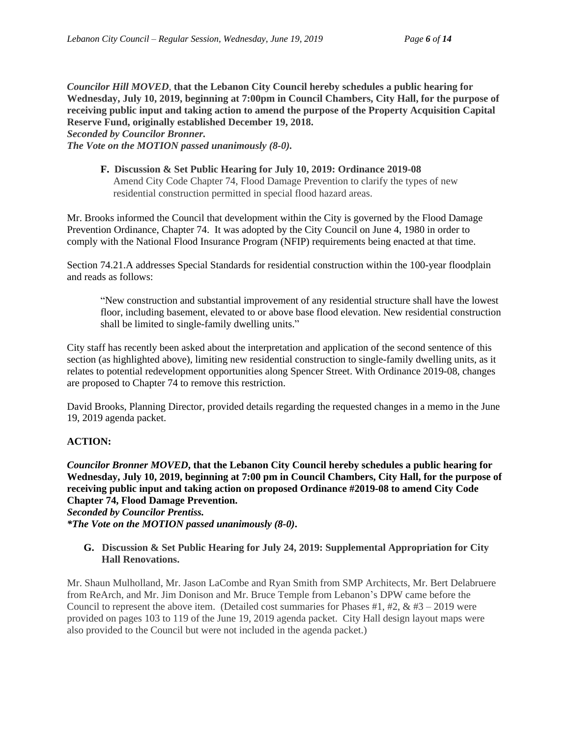*Councilor Hill MOVED*, **that the Lebanon City Council hereby schedules a public hearing for Wednesday, July 10, 2019, beginning at 7:00pm in Council Chambers, City Hall, for the purpose of receiving public input and taking action to amend the purpose of the Property Acquisition Capital Reserve Fund, originally established December 19, 2018.**

*Seconded by Councilor Bronner.*

*The Vote on the MOTION passed unanimously (8-0).*

**F. Discussion & Set Public Hearing for July 10, 2019: Ordinance 2019-08** Amend City Code Chapter 74, Flood Damage Prevention to clarify the types of new residential construction permitted in special flood hazard areas.

Mr. Brooks informed the Council that development within the City is governed by the Flood Damage Prevention Ordinance, Chapter 74. It was adopted by the City Council on June 4, 1980 in order to comply with the National Flood Insurance Program (NFIP) requirements being enacted at that time.

Section 74.21.A addresses Special Standards for residential construction within the 100-year floodplain and reads as follows:

"New construction and substantial improvement of any residential structure shall have the lowest floor, including basement, elevated to or above base flood elevation. New residential construction shall be limited to single-family dwelling units."

City staff has recently been asked about the interpretation and application of the second sentence of this section (as highlighted above), limiting new residential construction to single-family dwelling units, as it relates to potential redevelopment opportunities along Spencer Street. With Ordinance 2019-08, changes are proposed to Chapter 74 to remove this restriction.

David Brooks, Planning Director, provided details regarding the requested changes in a memo in the June 19, 2019 agenda packet.

### **ACTION:**

*Councilor Bronner MOVED***, that the Lebanon City Council hereby schedules a public hearing for Wednesday, July 10, 2019, beginning at 7:00 pm in Council Chambers, City Hall, for the purpose of receiving public input and taking action on proposed Ordinance #2019-08 to amend City Code Chapter 74, Flood Damage Prevention.**

*Seconded by Councilor Prentiss. \*The Vote on the MOTION passed unanimously (8-0)***.**

**G. Discussion & Set Public Hearing for July 24, 2019: Supplemental Appropriation for City Hall Renovations.**

Mr. Shaun Mulholland, Mr. Jason LaCombe and Ryan Smith from SMP Architects, Mr. Bert Delabruere from ReArch, and Mr. Jim Donison and Mr. Bruce Temple from Lebanon's DPW came before the Council to represent the above item. (Detailed cost summaries for Phases  $#1, #2, \& #3 - 2019$  were provided on pages 103 to 119 of the June 19, 2019 agenda packet. City Hall design layout maps were also provided to the Council but were not included in the agenda packet.)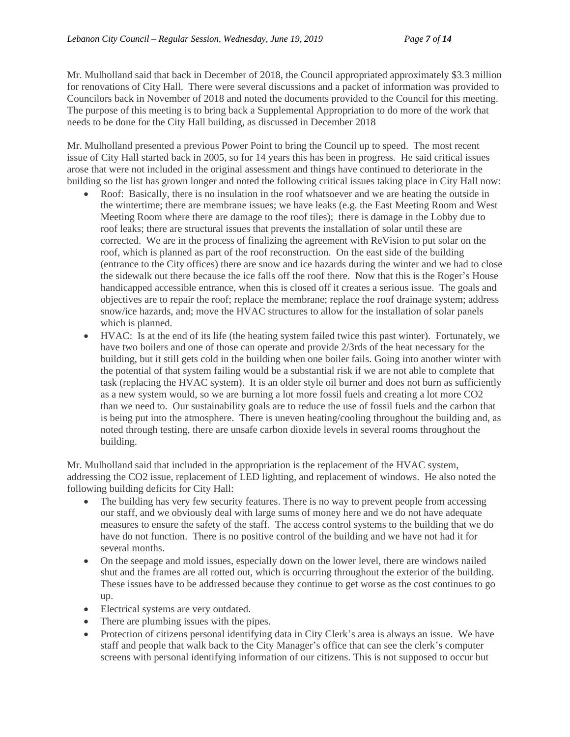Mr. Mulholland said that back in December of 2018, the Council appropriated approximately \$3.3 million for renovations of City Hall. There were several discussions and a packet of information was provided to Councilors back in November of 2018 and noted the documents provided to the Council for this meeting. The purpose of this meeting is to bring back a Supplemental Appropriation to do more of the work that needs to be done for the City Hall building, as discussed in December 2018

Mr. Mulholland presented a previous Power Point to bring the Council up to speed. The most recent issue of City Hall started back in 2005, so for 14 years this has been in progress. He said critical issues arose that were not included in the original assessment and things have continued to deteriorate in the building so the list has grown longer and noted the following critical issues taking place in City Hall now:

- Roof: Basically, there is no insulation in the roof whatsoever and we are heating the outside in the wintertime; there are membrane issues; we have leaks (e.g. the East Meeting Room and West Meeting Room where there are damage to the roof tiles); there is damage in the Lobby due to roof leaks; there are structural issues that prevents the installation of solar until these are corrected. We are in the process of finalizing the agreement with ReVision to put solar on the roof, which is planned as part of the roof reconstruction. On the east side of the building (entrance to the City offices) there are snow and ice hazards during the winter and we had to close the sidewalk out there because the ice falls off the roof there. Now that this is the Roger's House handicapped accessible entrance, when this is closed off it creates a serious issue. The goals and objectives are to repair the roof; replace the membrane; replace the roof drainage system; address snow/ice hazards, and; move the HVAC structures to allow for the installation of solar panels which is planned.
- HVAC: Is at the end of its life (the heating system failed twice this past winter). Fortunately, we have two boilers and one of those can operate and provide 2/3rds of the heat necessary for the building, but it still gets cold in the building when one boiler fails. Going into another winter with the potential of that system failing would be a substantial risk if we are not able to complete that task (replacing the HVAC system). It is an older style oil burner and does not burn as sufficiently as a new system would, so we are burning a lot more fossil fuels and creating a lot more CO2 than we need to. Our sustainability goals are to reduce the use of fossil fuels and the carbon that is being put into the atmosphere. There is uneven heating/cooling throughout the building and, as noted through testing, there are unsafe carbon dioxide levels in several rooms throughout the building.

Mr. Mulholland said that included in the appropriation is the replacement of the HVAC system, addressing the CO2 issue, replacement of LED lighting, and replacement of windows. He also noted the following building deficits for City Hall:

- The building has very few security features. There is no way to prevent people from accessing our staff, and we obviously deal with large sums of money here and we do not have adequate measures to ensure the safety of the staff. The access control systems to the building that we do have do not function. There is no positive control of the building and we have not had it for several months.
- On the seepage and mold issues, especially down on the lower level, there are windows nailed shut and the frames are all rotted out, which is occurring throughout the exterior of the building. These issues have to be addressed because they continue to get worse as the cost continues to go up.
- Electrical systems are very outdated.
- There are plumbing issues with the pipes.
- Protection of citizens personal identifying data in City Clerk's area is always an issue. We have staff and people that walk back to the City Manager's office that can see the clerk's computer screens with personal identifying information of our citizens. This is not supposed to occur but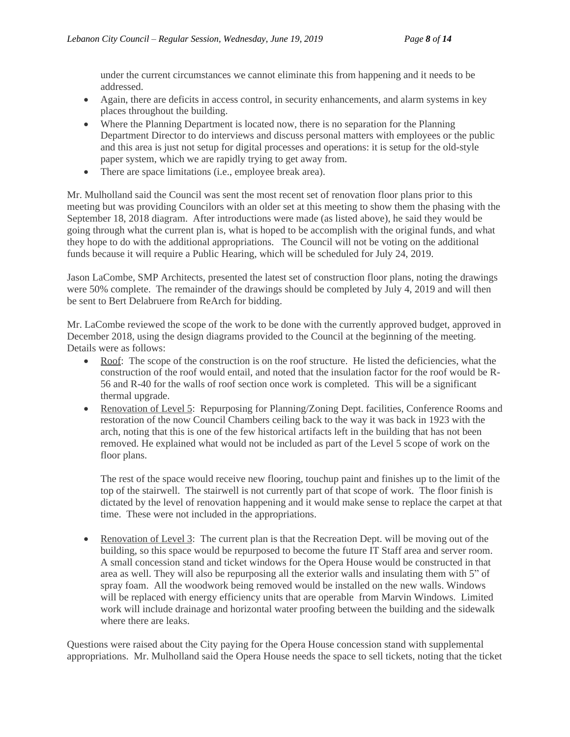under the current circumstances we cannot eliminate this from happening and it needs to be addressed.

- Again, there are deficits in access control, in security enhancements, and alarm systems in key places throughout the building.
- Where the Planning Department is located now, there is no separation for the Planning Department Director to do interviews and discuss personal matters with employees or the public and this area is just not setup for digital processes and operations: it is setup for the old-style paper system, which we are rapidly trying to get away from.
- There are space limitations (i.e., employee break area).

Mr. Mulholland said the Council was sent the most recent set of renovation floor plans prior to this meeting but was providing Councilors with an older set at this meeting to show them the phasing with the September 18, 2018 diagram. After introductions were made (as listed above), he said they would be going through what the current plan is, what is hoped to be accomplish with the original funds, and what they hope to do with the additional appropriations. The Council will not be voting on the additional funds because it will require a Public Hearing, which will be scheduled for July 24, 2019.

Jason LaCombe, SMP Architects, presented the latest set of construction floor plans, noting the drawings were 50% complete. The remainder of the drawings should be completed by July 4, 2019 and will then be sent to Bert Delabruere from ReArch for bidding.

Mr. LaCombe reviewed the scope of the work to be done with the currently approved budget, approved in December 2018, using the design diagrams provided to the Council at the beginning of the meeting. Details were as follows:

- Roof: The scope of the construction is on the roof structure. He listed the deficiencies, what the construction of the roof would entail, and noted that the insulation factor for the roof would be R-56 and R-40 for the walls of roof section once work is completed. This will be a significant thermal upgrade.
- Renovation of Level 5: Repurposing for Planning/Zoning Dept. facilities, Conference Rooms and restoration of the now Council Chambers ceiling back to the way it was back in 1923 with the arch, noting that this is one of the few historical artifacts left in the building that has not been removed. He explained what would not be included as part of the Level 5 scope of work on the floor plans.

The rest of the space would receive new flooring, touchup paint and finishes up to the limit of the top of the stairwell. The stairwell is not currently part of that scope of work. The floor finish is dictated by the level of renovation happening and it would make sense to replace the carpet at that time. These were not included in the appropriations.

• Renovation of Level 3: The current plan is that the Recreation Dept. will be moving out of the building, so this space would be repurposed to become the future IT Staff area and server room. A small concession stand and ticket windows for the Opera House would be constructed in that area as well. They will also be repurposing all the exterior walls and insulating them with 5" of spray foam. All the woodwork being removed would be installed on the new walls. Windows will be replaced with energy efficiency units that are operable from Marvin Windows. Limited work will include drainage and horizontal water proofing between the building and the sidewalk where there are leaks.

Questions were raised about the City paying for the Opera House concession stand with supplemental appropriations. Mr. Mulholland said the Opera House needs the space to sell tickets, noting that the ticket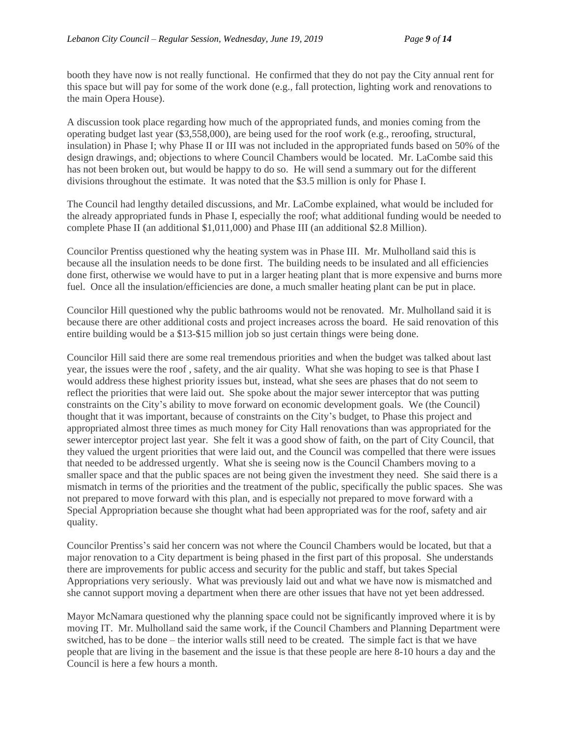booth they have now is not really functional. He confirmed that they do not pay the City annual rent for this space but will pay for some of the work done (e.g., fall protection, lighting work and renovations to the main Opera House).

A discussion took place regarding how much of the appropriated funds, and monies coming from the operating budget last year (\$3,558,000), are being used for the roof work (e.g., reroofing, structural, insulation) in Phase I; why Phase II or III was not included in the appropriated funds based on 50% of the design drawings, and; objections to where Council Chambers would be located. Mr. LaCombe said this has not been broken out, but would be happy to do so. He will send a summary out for the different divisions throughout the estimate. It was noted that the \$3.5 million is only for Phase I.

The Council had lengthy detailed discussions, and Mr. LaCombe explained, what would be included for the already appropriated funds in Phase I, especially the roof; what additional funding would be needed to complete Phase II (an additional \$1,011,000) and Phase III (an additional \$2.8 Million).

Councilor Prentiss questioned why the heating system was in Phase III. Mr. Mulholland said this is because all the insulation needs to be done first. The building needs to be insulated and all efficiencies done first, otherwise we would have to put in a larger heating plant that is more expensive and burns more fuel. Once all the insulation/efficiencies are done, a much smaller heating plant can be put in place.

Councilor Hill questioned why the public bathrooms would not be renovated. Mr. Mulholland said it is because there are other additional costs and project increases across the board. He said renovation of this entire building would be a \$13-\$15 million job so just certain things were being done.

Councilor Hill said there are some real tremendous priorities and when the budget was talked about last year, the issues were the roof , safety, and the air quality. What she was hoping to see is that Phase I would address these highest priority issues but, instead, what she sees are phases that do not seem to reflect the priorities that were laid out. She spoke about the major sewer interceptor that was putting constraints on the City's ability to move forward on economic development goals. We (the Council) thought that it was important, because of constraints on the City's budget, to Phase this project and appropriated almost three times as much money for City Hall renovations than was appropriated for the sewer interceptor project last year. She felt it was a good show of faith, on the part of City Council, that they valued the urgent priorities that were laid out, and the Council was compelled that there were issues that needed to be addressed urgently. What she is seeing now is the Council Chambers moving to a smaller space and that the public spaces are not being given the investment they need. She said there is a mismatch in terms of the priorities and the treatment of the public, specifically the public spaces. She was not prepared to move forward with this plan, and is especially not prepared to move forward with a Special Appropriation because she thought what had been appropriated was for the roof, safety and air quality.

Councilor Prentiss's said her concern was not where the Council Chambers would be located, but that a major renovation to a City department is being phased in the first part of this proposal. She understands there are improvements for public access and security for the public and staff, but takes Special Appropriations very seriously. What was previously laid out and what we have now is mismatched and she cannot support moving a department when there are other issues that have not yet been addressed.

Mayor McNamara questioned why the planning space could not be significantly improved where it is by moving IT. Mr. Mulholland said the same work, if the Council Chambers and Planning Department were switched, has to be done – the interior walls still need to be created. The simple fact is that we have people that are living in the basement and the issue is that these people are here 8-10 hours a day and the Council is here a few hours a month.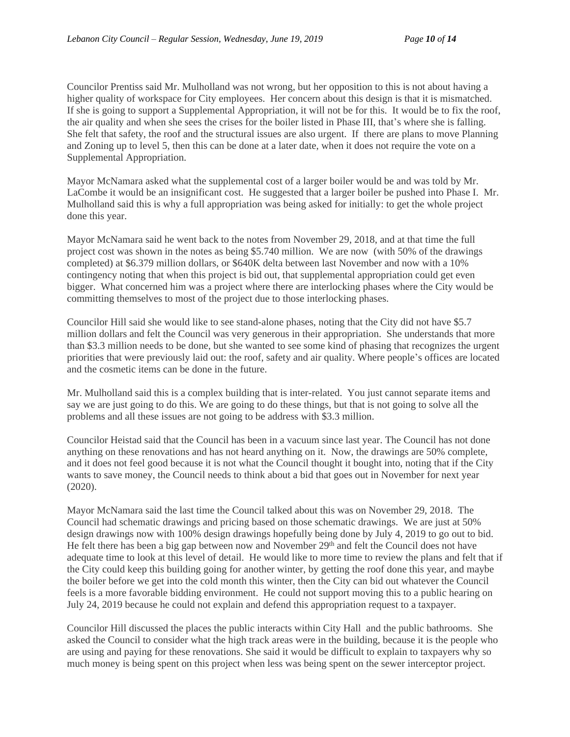Councilor Prentiss said Mr. Mulholland was not wrong, but her opposition to this is not about having a higher quality of workspace for City employees. Her concern about this design is that it is mismatched. If she is going to support a Supplemental Appropriation, it will not be for this. It would be to fix the roof, the air quality and when she sees the crises for the boiler listed in Phase III, that's where she is falling. She felt that safety, the roof and the structural issues are also urgent. If there are plans to move Planning and Zoning up to level 5, then this can be done at a later date, when it does not require the vote on a Supplemental Appropriation.

Mayor McNamara asked what the supplemental cost of a larger boiler would be and was told by Mr. LaCombe it would be an insignificant cost. He suggested that a larger boiler be pushed into Phase I. Mr. Mulholland said this is why a full appropriation was being asked for initially: to get the whole project done this year.

Mayor McNamara said he went back to the notes from November 29, 2018, and at that time the full project cost was shown in the notes as being \$5.740 million. We are now (with 50% of the drawings completed) at \$6.379 million dollars, or \$640K delta between last November and now with a 10% contingency noting that when this project is bid out, that supplemental appropriation could get even bigger. What concerned him was a project where there are interlocking phases where the City would be committing themselves to most of the project due to those interlocking phases.

Councilor Hill said she would like to see stand-alone phases, noting that the City did not have \$5.7 million dollars and felt the Council was very generous in their appropriation. She understands that more than \$3.3 million needs to be done, but she wanted to see some kind of phasing that recognizes the urgent priorities that were previously laid out: the roof, safety and air quality. Where people's offices are located and the cosmetic items can be done in the future.

Mr. Mulholland said this is a complex building that is inter-related. You just cannot separate items and say we are just going to do this. We are going to do these things, but that is not going to solve all the problems and all these issues are not going to be address with \$3.3 million.

Councilor Heistad said that the Council has been in a vacuum since last year. The Council has not done anything on these renovations and has not heard anything on it. Now, the drawings are 50% complete, and it does not feel good because it is not what the Council thought it bought into, noting that if the City wants to save money, the Council needs to think about a bid that goes out in November for next year (2020).

Mayor McNamara said the last time the Council talked about this was on November 29, 2018. The Council had schematic drawings and pricing based on those schematic drawings. We are just at 50% design drawings now with 100% design drawings hopefully being done by July 4, 2019 to go out to bid. He felt there has been a big gap between now and November 29<sup>th</sup> and felt the Council does not have adequate time to look at this level of detail. He would like to more time to review the plans and felt that if the City could keep this building going for another winter, by getting the roof done this year, and maybe the boiler before we get into the cold month this winter, then the City can bid out whatever the Council feels is a more favorable bidding environment. He could not support moving this to a public hearing on July 24, 2019 because he could not explain and defend this appropriation request to a taxpayer.

Councilor Hill discussed the places the public interacts within City Hall and the public bathrooms. She asked the Council to consider what the high track areas were in the building, because it is the people who are using and paying for these renovations. She said it would be difficult to explain to taxpayers why so much money is being spent on this project when less was being spent on the sewer interceptor project.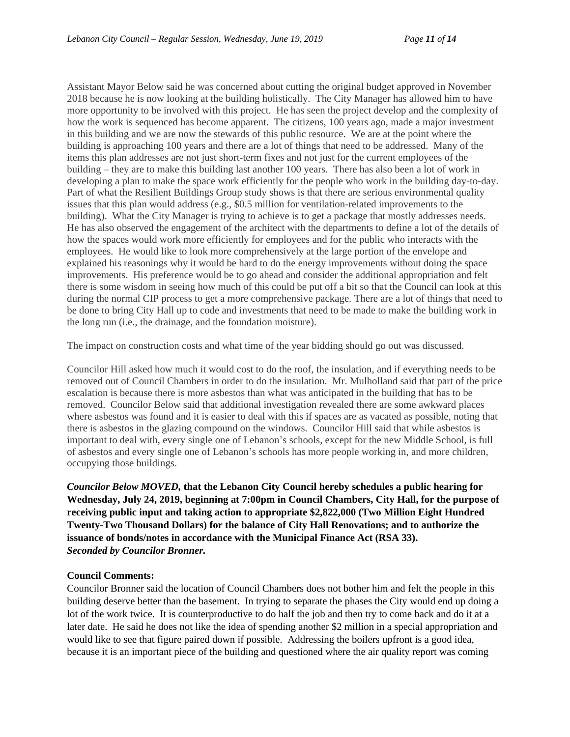Assistant Mayor Below said he was concerned about cutting the original budget approved in November 2018 because he is now looking at the building holistically. The City Manager has allowed him to have more opportunity to be involved with this project. He has seen the project develop and the complexity of how the work is sequenced has become apparent. The citizens, 100 years ago, made a major investment in this building and we are now the stewards of this public resource. We are at the point where the building is approaching 100 years and there are a lot of things that need to be addressed. Many of the items this plan addresses are not just short-term fixes and not just for the current employees of the building – they are to make this building last another 100 years. There has also been a lot of work in developing a plan to make the space work efficiently for the people who work in the building day-to-day. Part of what the Resilient Buildings Group study shows is that there are serious environmental quality issues that this plan would address (e.g., \$0.5 million for ventilation-related improvements to the building). What the City Manager is trying to achieve is to get a package that mostly addresses needs. He has also observed the engagement of the architect with the departments to define a lot of the details of how the spaces would work more efficiently for employees and for the public who interacts with the employees. He would like to look more comprehensively at the large portion of the envelope and explained his reasonings why it would be hard to do the energy improvements without doing the space improvements. His preference would be to go ahead and consider the additional appropriation and felt there is some wisdom in seeing how much of this could be put off a bit so that the Council can look at this during the normal CIP process to get a more comprehensive package. There are a lot of things that need to be done to bring City Hall up to code and investments that need to be made to make the building work in the long run (i.e., the drainage, and the foundation moisture).

The impact on construction costs and what time of the year bidding should go out was discussed.

Councilor Hill asked how much it would cost to do the roof, the insulation, and if everything needs to be removed out of Council Chambers in order to do the insulation. Mr. Mulholland said that part of the price escalation is because there is more asbestos than what was anticipated in the building that has to be removed. Councilor Below said that additional investigation revealed there are some awkward places where asbestos was found and it is easier to deal with this if spaces are as vacated as possible, noting that there is asbestos in the glazing compound on the windows. Councilor Hill said that while asbestos is important to deal with, every single one of Lebanon's schools, except for the new Middle School, is full of asbestos and every single one of Lebanon's schools has more people working in, and more children, occupying those buildings.

*Councilor Below MOVED,* **that the Lebanon City Council hereby schedules a public hearing for Wednesday, July 24, 2019, beginning at 7:00pm in Council Chambers, City Hall, for the purpose of receiving public input and taking action to appropriate \$2,822,000 (Two Million Eight Hundred Twenty-Two Thousand Dollars) for the balance of City Hall Renovations; and to authorize the issuance of bonds/notes in accordance with the Municipal Finance Act (RSA 33).** *Seconded by Councilor Bronner.*

### **Council Comments:**

Councilor Bronner said the location of Council Chambers does not bother him and felt the people in this building deserve better than the basement. In trying to separate the phases the City would end up doing a lot of the work twice. It is counterproductive to do half the job and then try to come back and do it at a later date. He said he does not like the idea of spending another \$2 million in a special appropriation and would like to see that figure paired down if possible. Addressing the boilers upfront is a good idea, because it is an important piece of the building and questioned where the air quality report was coming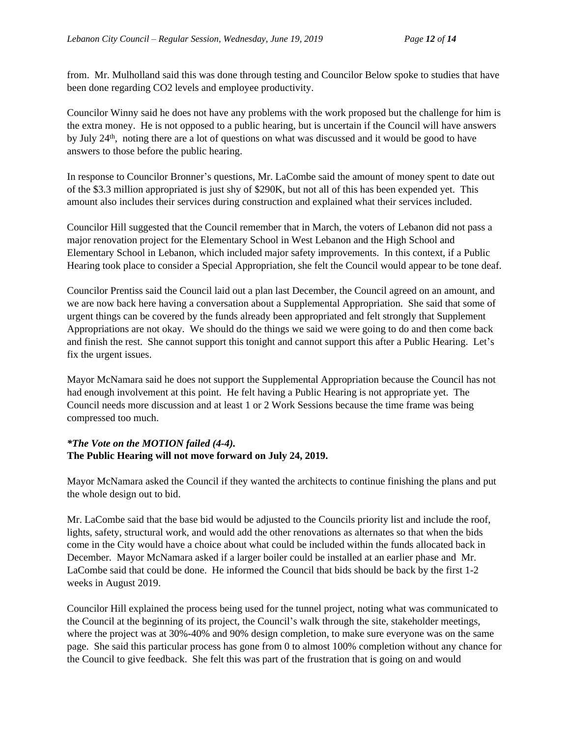from. Mr. Mulholland said this was done through testing and Councilor Below spoke to studies that have been done regarding CO2 levels and employee productivity.

Councilor Winny said he does not have any problems with the work proposed but the challenge for him is the extra money. He is not opposed to a public hearing, but is uncertain if the Council will have answers by July 24th , noting there are a lot of questions on what was discussed and it would be good to have answers to those before the public hearing.

In response to Councilor Bronner's questions, Mr. LaCombe said the amount of money spent to date out of the \$3.3 million appropriated is just shy of \$290K, but not all of this has been expended yet. This amount also includes their services during construction and explained what their services included.

Councilor Hill suggested that the Council remember that in March, the voters of Lebanon did not pass a major renovation project for the Elementary School in West Lebanon and the High School and Elementary School in Lebanon, which included major safety improvements. In this context, if a Public Hearing took place to consider a Special Appropriation, she felt the Council would appear to be tone deaf.

Councilor Prentiss said the Council laid out a plan last December, the Council agreed on an amount, and we are now back here having a conversation about a Supplemental Appropriation. She said that some of urgent things can be covered by the funds already been appropriated and felt strongly that Supplement Appropriations are not okay. We should do the things we said we were going to do and then come back and finish the rest. She cannot support this tonight and cannot support this after a Public Hearing. Let's fix the urgent issues.

Mayor McNamara said he does not support the Supplemental Appropriation because the Council has not had enough involvement at this point. He felt having a Public Hearing is not appropriate yet. The Council needs more discussion and at least 1 or 2 Work Sessions because the time frame was being compressed too much.

# *\*The Vote on the MOTION failed (4-4).* **The Public Hearing will not move forward on July 24, 2019.**

Mayor McNamara asked the Council if they wanted the architects to continue finishing the plans and put the whole design out to bid.

Mr. LaCombe said that the base bid would be adjusted to the Councils priority list and include the roof, lights, safety, structural work, and would add the other renovations as alternates so that when the bids come in the City would have a choice about what could be included within the funds allocated back in December. Mayor McNamara asked if a larger boiler could be installed at an earlier phase and Mr. LaCombe said that could be done. He informed the Council that bids should be back by the first 1-2 weeks in August 2019.

Councilor Hill explained the process being used for the tunnel project, noting what was communicated to the Council at the beginning of its project, the Council's walk through the site, stakeholder meetings, where the project was at 30%-40% and 90% design completion, to make sure everyone was on the same page. She said this particular process has gone from 0 to almost 100% completion without any chance for the Council to give feedback. She felt this was part of the frustration that is going on and would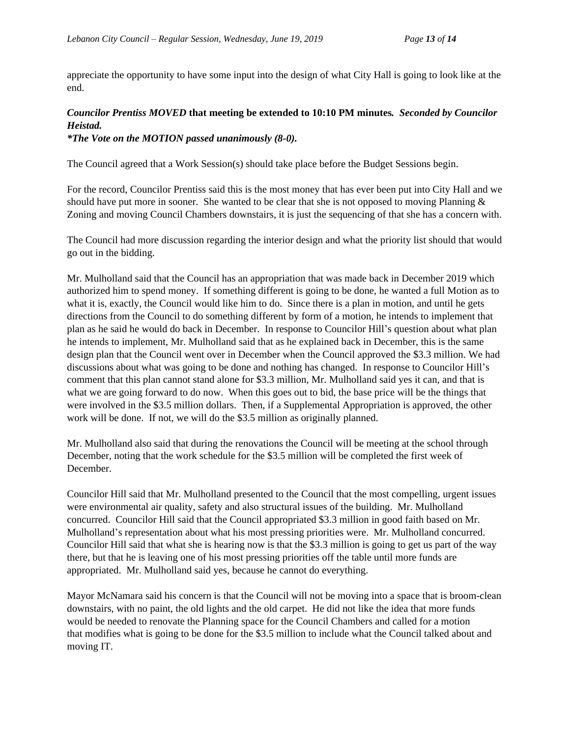appreciate the opportunity to have some input into the design of what City Hall is going to look like at the end.

# *Councilor Prentiss MOVED* **that meeting be extended to 10:10 PM minutes***. Seconded by Councilor Heistad.*

*\*The Vote on the MOTION passed unanimously (8-0).*

The Council agreed that a Work Session(s) should take place before the Budget Sessions begin.

For the record, Councilor Prentiss said this is the most money that has ever been put into City Hall and we should have put more in sooner. She wanted to be clear that she is not opposed to moving Planning  $\&$ Zoning and moving Council Chambers downstairs, it is just the sequencing of that she has a concern with.

The Council had more discussion regarding the interior design and what the priority list should that would go out in the bidding.

Mr. Mulholland said that the Council has an appropriation that was made back in December 2019 which authorized him to spend money. If something different is going to be done, he wanted a full Motion as to what it is, exactly, the Council would like him to do. Since there is a plan in motion, and until he gets directions from the Council to do something different by form of a motion, he intends to implement that plan as he said he would do back in December. In response to Councilor Hill's question about what plan he intends to implement, Mr. Mulholland said that as he explained back in December, this is the same design plan that the Council went over in December when the Council approved the \$3.3 million. We had discussions about what was going to be done and nothing has changed. In response to Councilor Hill's comment that this plan cannot stand alone for \$3.3 million, Mr. Mulholland said yes it can, and that is what we are going forward to do now. When this goes out to bid, the base price will be the things that were involved in the \$3.5 million dollars. Then, if a Supplemental Appropriation is approved, the other work will be done. If not, we will do the \$3.5 million as originally planned.

Mr. Mulholland also said that during the renovations the Council will be meeting at the school through December, noting that the work schedule for the \$3.5 million will be completed the first week of December.

Councilor Hill said that Mr. Mulholland presented to the Council that the most compelling, urgent issues were environmental air quality, safety and also structural issues of the building. Mr. Mulholland concurred. Councilor Hill said that the Council appropriated \$3.3 million in good faith based on Mr. Mulholland's representation about what his most pressing priorities were. Mr. Mulholland concurred. Councilor Hill said that what she is hearing now is that the \$3.3 million is going to get us part of the way there, but that he is leaving one of his most pressing priorities off the table until more funds are appropriated. Mr. Mulholland said yes, because he cannot do everything.

Mayor McNamara said his concern is that the Council will not be moving into a space that is broom-clean downstairs, with no paint, the old lights and the old carpet. He did not like the idea that more funds would be needed to renovate the Planning space for the Council Chambers and called for a motion that modifies what is going to be done for the \$3.5 million to include what the Council talked about and moving IT.